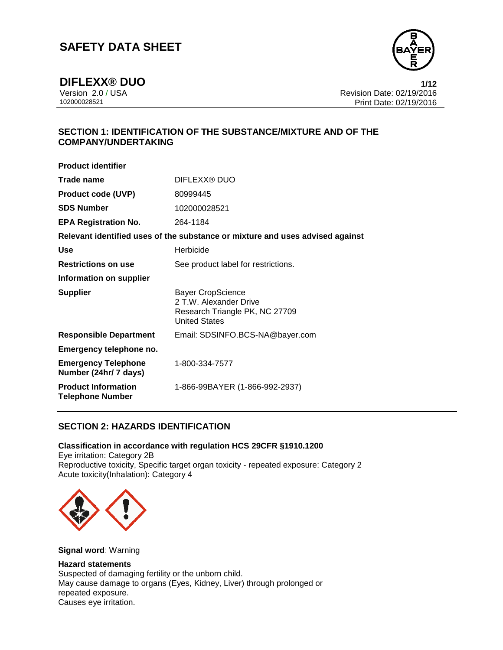

**DIFLEXX® DUO** 1/12<br>Version 2.0 / USA 1/12<br>Revision Date: 02/19/2016 Version 2.0 / USA Revision Date: 02/19/2016 Print Date: 02/19/2016

### **SECTION 1: IDENTIFICATION OF THE SUBSTANCE/MIXTURE AND OF THE COMPANY/UNDERTAKING**

| DIFLEXX® DUO                                                                                                 |
|--------------------------------------------------------------------------------------------------------------|
| 80999445                                                                                                     |
| 102000028521                                                                                                 |
| 264-1184                                                                                                     |
| Relevant identified uses of the substance or mixture and uses advised against                                |
| Herbicide                                                                                                    |
| See product label for restrictions.                                                                          |
|                                                                                                              |
| <b>Bayer CropScience</b><br>2 T.W. Alexander Drive<br>Research Triangle PK, NC 27709<br><b>United States</b> |
| Email: SDSINFO.BCS-NA@bayer.com                                                                              |
|                                                                                                              |
|                                                                                                              |
| 1-800-334-7577                                                                                               |
|                                                                                                              |

### **SECTION 2: HAZARDS IDENTIFICATION**

#### **Classification in accordance with regulation HCS 29CFR §1910.1200**

Eye irritation: Category 2B Reproductive toxicity, Specific target organ toxicity - repeated exposure: Category 2 Acute toxicity(Inhalation): Category 4



**Signal word**: Warning

#### **Hazard statements**

Suspected of damaging fertility or the unborn child. May cause damage to organs (Eyes, Kidney, Liver) through prolonged or repeated exposure. Causes eye irritation.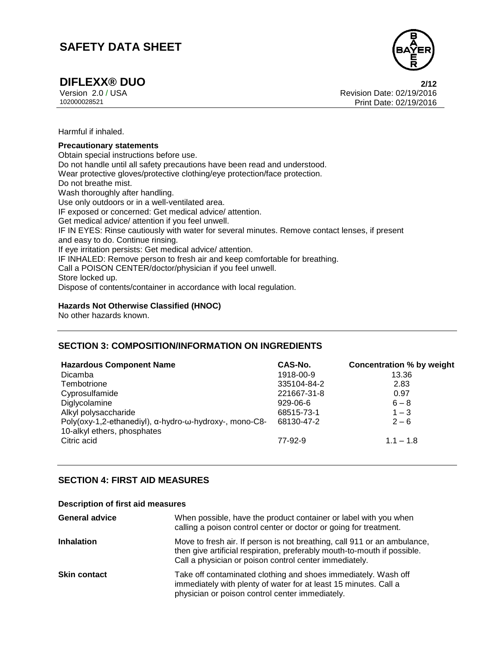

**DIFLEXX® DUO 2/12** Version 2.0 / USA Revision Date: 02/19/2016 Print Date: 02/19/2016

Harmful if inhaled.

#### **Precautionary statements**

Obtain special instructions before use. Do not handle until all safety precautions have been read and understood. Wear protective gloves/protective clothing/eye protection/face protection. Do not breathe mist. Wash thoroughly after handling. Use only outdoors or in a well-ventilated area. IF exposed or concerned: Get medical advice/ attention. Get medical advice/ attention if you feel unwell. IF IN EYES: Rinse cautiously with water for several minutes. Remove contact lenses, if present and easy to do. Continue rinsing. If eye irritation persists: Get medical advice/ attention. IF INHALED: Remove person to fresh air and keep comfortable for breathing. Call a POISON CENTER/doctor/physician if you feel unwell. Store locked up. Dispose of contents/container in accordance with local regulation.

#### **Hazards Not Otherwise Classified (HNOC)**

No other hazards known.

### **SECTION 3: COMPOSITION/INFORMATION ON INGREDIENTS**

| <b>Hazardous Component Name</b>                                                       | CAS-No.     | <b>Concentration % by weight</b> |
|---------------------------------------------------------------------------------------|-------------|----------------------------------|
| <b>Dicamba</b>                                                                        | 1918-00-9   | 13.36                            |
| Tembotrione                                                                           | 335104-84-2 | 2.83                             |
| Cyprosulfamide                                                                        | 221667-31-8 | 0.97                             |
| Diglycolamine                                                                         | $929-06-6$  | $6 - 8$                          |
| Alkyl polysaccharide                                                                  | 68515-73-1  | $1 - 3$                          |
| Poly(oxy-1,2-ethanediyl), α-hydro-ω-hydroxy-, mono-C8-<br>10-alkyl ethers, phosphates | 68130-47-2  | $2 - 6$                          |
| Citric acid                                                                           | 77-92-9     | $1.1 - 1.8$                      |

### **SECTION 4: FIRST AID MEASURES**

#### **Description of first aid measures**

| <b>General advice</b> | When possible, have the product container or label with you when<br>calling a poison control center or doctor or going for treatment.                                                                          |
|-----------------------|----------------------------------------------------------------------------------------------------------------------------------------------------------------------------------------------------------------|
| <b>Inhalation</b>     | Move to fresh air. If person is not breathing, call 911 or an ambulance,<br>then give artificial respiration, preferably mouth-to-mouth if possible.<br>Call a physician or poison control center immediately. |
| <b>Skin contact</b>   | Take off contaminated clothing and shoes immediately. Wash off<br>immediately with plenty of water for at least 15 minutes. Call a<br>physician or poison control center immediately.                          |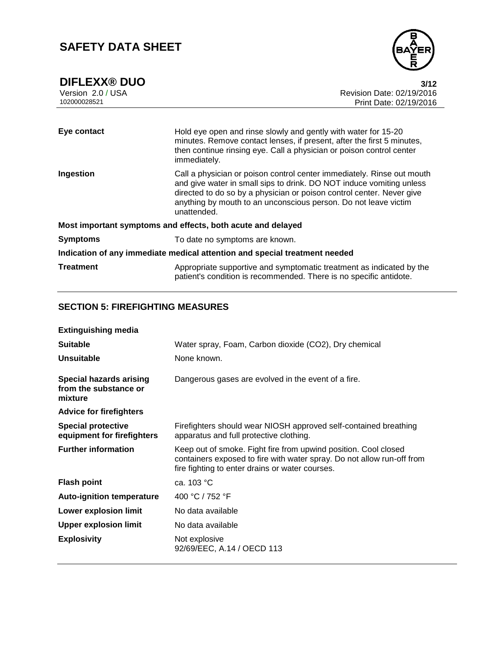

| Eye contact      | Hold eye open and rinse slowly and gently with water for 15-20<br>minutes. Remove contact lenses, if present, after the first 5 minutes,<br>then continue rinsing eye. Call a physician or poison control center<br>immediately.                                                                          |
|------------------|-----------------------------------------------------------------------------------------------------------------------------------------------------------------------------------------------------------------------------------------------------------------------------------------------------------|
| Ingestion        | Call a physician or poison control center immediately. Rinse out mouth<br>and give water in small sips to drink. DO NOT induce vomiting unless<br>directed to do so by a physician or poison control center. Never give<br>anything by mouth to an unconscious person. Do not leave victim<br>unattended. |
|                  | Most important symptoms and effects, both acute and delayed                                                                                                                                                                                                                                               |
| <b>Symptoms</b>  | To date no symptoms are known.                                                                                                                                                                                                                                                                            |
|                  | Indication of any immediate medical attention and special treatment needed                                                                                                                                                                                                                                |
| <b>Treatment</b> | Appropriate supportive and symptomatic treatment as indicated by the<br>patient's condition is recommended. There is no specific antidote.                                                                                                                                                                |

### **SECTION 5: FIREFIGHTING MEASURES**

| <b>Extinguishing media</b>                                         |                                                                                                                                                                                              |
|--------------------------------------------------------------------|----------------------------------------------------------------------------------------------------------------------------------------------------------------------------------------------|
| <b>Suitable</b>                                                    | Water spray, Foam, Carbon dioxide (CO2), Dry chemical                                                                                                                                        |
| <b>Unsuitable</b>                                                  | None known.                                                                                                                                                                                  |
| <b>Special hazards arising</b><br>from the substance or<br>mixture | Dangerous gases are evolved in the event of a fire.                                                                                                                                          |
| <b>Advice for firefighters</b>                                     |                                                                                                                                                                                              |
| <b>Special protective</b><br>equipment for firefighters            | Firefighters should wear NIOSH approved self-contained breathing<br>apparatus and full protective clothing.                                                                                  |
| <b>Further information</b>                                         | Keep out of smoke. Fight fire from upwind position. Cool closed<br>containers exposed to fire with water spray. Do not allow run-off from<br>fire fighting to enter drains or water courses. |
| <b>Flash point</b>                                                 | ca. $103 °C$                                                                                                                                                                                 |
| <b>Auto-ignition temperature</b>                                   | 400 °C / 752 °F                                                                                                                                                                              |
| <b>Lower explosion limit</b>                                       | No data available                                                                                                                                                                            |
| <b>Upper explosion limit</b>                                       | No data available                                                                                                                                                                            |
| <b>Explosivity</b>                                                 | Not explosive<br>92/69/EEC, A.14 / OECD 113                                                                                                                                                  |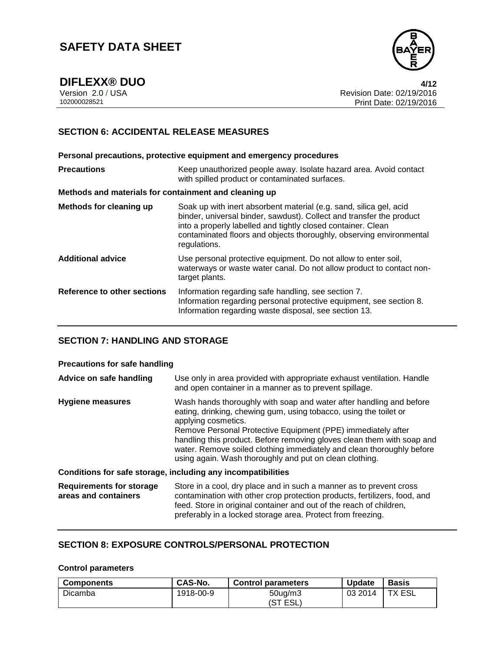

**DIFLEXX® DUO 4/12** Version 2.0 / USA Revision Date: 02/19/2016 Print Date: 02/19/2016

### **SECTION 6: ACCIDENTAL RELEASE MEASURES**

**Personal precautions, protective equipment and emergency procedures Precautions Keep unauthorized people away. Isolate hazard area. Avoid contact** with spilled product or contaminated surfaces. **Methods and materials for containment and cleaning up Methods for cleaning up** Soak up with inert absorbent material (e.g. sand, silica gel, acid binder, universal binder, sawdust). Collect and transfer the product into a properly labelled and tightly closed container. Clean contaminated floors and objects thoroughly, observing environmental regulations. **Additional advice** Use personal protective equipment. Do not allow to enter soil, waterways or waste water canal. Do not allow product to contact nontarget plants. **Reference to other sections** Information regarding safe handling, see section 7. Information regarding personal protective equipment, see section 8. Information regarding waste disposal, see section 13.

### **SECTION 7: HANDLING AND STORAGE**

#### **Precautions for safe handling**

| Advice on safe handling                                 | Use only in area provided with appropriate exhaust ventilation. Handle<br>and open container in a manner as to prevent spillage.                                                                                                                                                                                                                                                                                                              |
|---------------------------------------------------------|-----------------------------------------------------------------------------------------------------------------------------------------------------------------------------------------------------------------------------------------------------------------------------------------------------------------------------------------------------------------------------------------------------------------------------------------------|
| <b>Hygiene measures</b>                                 | Wash hands thoroughly with soap and water after handling and before<br>eating, drinking, chewing gum, using tobacco, using the toilet or<br>applying cosmetics.<br>Remove Personal Protective Equipment (PPE) immediately after<br>handling this product. Before removing gloves clean them with soap and<br>water. Remove soiled clothing immediately and clean thoroughly before<br>using again. Wash thoroughly and put on clean clothing. |
|                                                         | Conditions for safe storage, including any incompatibilities                                                                                                                                                                                                                                                                                                                                                                                  |
| <b>Requirements for storage</b><br>areas and containers | Store in a cool, dry place and in such a manner as to prevent cross<br>contamination with other crop protection products, fertilizers, food, and<br>feed. Store in original container and out of the reach of children,<br>preferably in a locked storage area. Protect from freezing.                                                                                                                                                        |

### **SECTION 8: EXPOSURE CONTROLS/PERSONAL PROTECTION**

#### **Control parameters**

| <b>Components</b> | <b>CAS-No.</b> | <b>Control parameters</b> | <b>Update</b> | <b>Basis</b>  |
|-------------------|----------------|---------------------------|---------------|---------------|
| Dicamba           | 1918-00-9      | $50uq$ m3<br>∵ESL.<br>(ST | 03 2014       | <b>TX ESL</b> |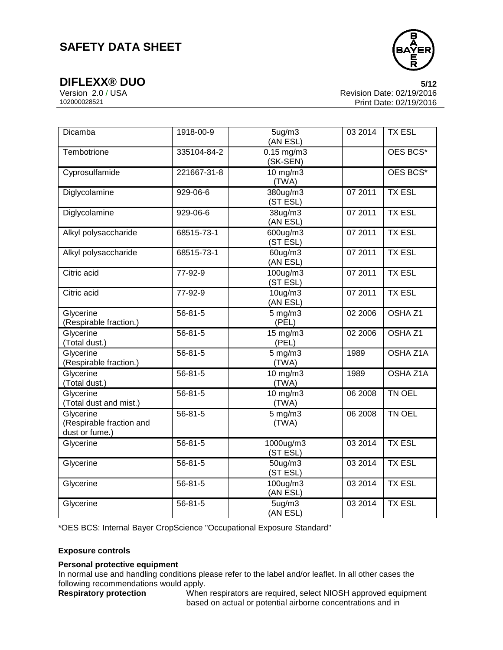

**DIFLEXX® DUO 5/12** Version 2.0 / USA Revision Date: 02/19/2016 Print Date: 02/19/2016

| <b>Dicamba</b>                                          | 1918-00-9     | 5ug/m3<br>(AN ESL)            | 03 2014 | <b>TX ESL</b>      |
|---------------------------------------------------------|---------------|-------------------------------|---------|--------------------|
| Tembotrione                                             | 335104-84-2   | $0.15$ mg/m $3$<br>(SK-SEN)   |         | OES BCS*           |
| Cyprosulfamide                                          | 221667-31-8   | $10 \text{ mg/m}$<br>(TWA)    |         | OES BCS*           |
| Diglycolamine                                           | 929-06-6      | 380ug/m3<br>(ST ESL)          | 07 2011 | <b>TX ESL</b>      |
| Diglycolamine                                           | 929-06-6      | 38ug/m3<br>(AN ESL)           | 07 2011 | <b>TX ESL</b>      |
| Alkyl polysaccharide                                    | 68515-73-1    | 600ug/m3<br>(ST ESL)          | 07 2011 | <b>TX ESL</b>      |
| Alkyl polysaccharide                                    | 68515-73-1    | 60ug/m3<br>(AN ESL)           | 07 2011 | <b>TX ESL</b>      |
| Citric acid                                             | 77-92-9       | 100ug/m3<br>(ST ESL)          | 07 2011 | <b>TX ESL</b>      |
| Citric acid                                             | 77-92-9       | $10$ ug/m $3$<br>(AN ESL)     | 07 2011 | <b>TX ESL</b>      |
| Glycerine<br>(Respirable fraction.)                     | 56-81-5       | $5$ mg/m $3$<br>(PEL)         | 02 2006 | OSHA <sub>Z1</sub> |
| Glycerine<br>(Total dust.)                              | $56 - 81 - 5$ | 15 mg/m3<br>(PEL)             | 02 2006 | OSHA <sub>Z1</sub> |
| Glycerine<br>(Respirable fraction.)                     | $56 - 81 - 5$ | $\overline{5}$ mg/m3<br>(TWA) | 1989    | <b>OSHA Z1A</b>    |
| Glycerine<br>(Total dust.)                              | 56-81-5       | 10 mg/m3<br>(TWA)             | 1989    | OSHA Z1A           |
| Glycerine<br>(Total dust and mist.)                     | $56 - 81 - 5$ | 10 mg/m3<br>(TWA)             | 06 2008 | TN OEL             |
| Glycerine<br>(Respirable fraction and<br>dust or fume.) | $56 - 81 - 5$ | $5 \text{ mg/m}$<br>(TWA)     | 06 2008 | TN OEL             |
| Glycerine                                               | $56 - 81 - 5$ | 1000ug/m3<br>(ST ESL)         | 03 2014 | <b>TX ESL</b>      |
| Glycerine                                               | $56 - 81 - 5$ | $50$ ug/m $3$<br>(ST ESL)     | 03 2014 | <b>TX ESL</b>      |
| Glycerine                                               | $56 - 81 - 5$ | 100ug/m3<br>(AN ESL)          | 03 2014 | <b>TX ESL</b>      |
| Glycerine                                               | $56 - 81 - 5$ | 5ug/m3<br>(AN ESL)            | 03 2014 | <b>TX ESL</b>      |

\*OES BCS: Internal Bayer CropScience "Occupational Exposure Standard"

#### **Exposure controls**

#### **Personal protective equipment**

In normal use and handling conditions please refer to the label and/or leaflet. In all other cases the following recommendations would apply.<br> **Respiratory protection** When

When respirators are required, select NIOSH approved equipment based on actual or potential airborne concentrations and in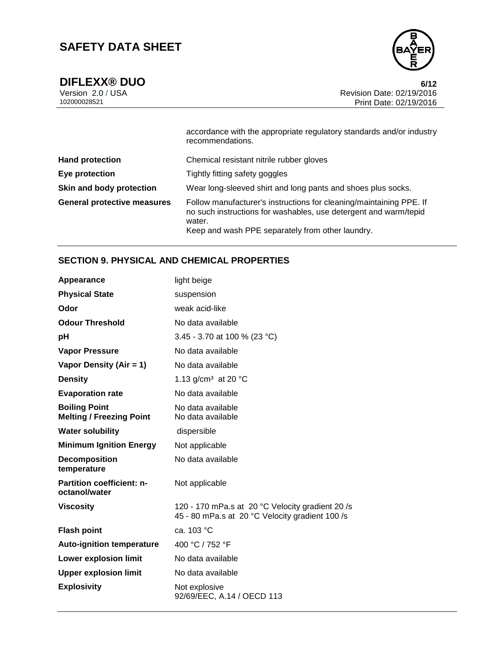

**DIFLEXX® DUO** 6/12<br>Version 2.0 / USA 6/12<br>Revision Date: 02/19/2016 Version 2.0 / USA Revision Date: 02/19/2016<br>102000028521 Print Date: 02/19/2016 Print Date: 02/19/2016

|                                    | accordance with the appropriate regulatory standards and/or industry<br>recommendations.                                                                                                              |
|------------------------------------|-------------------------------------------------------------------------------------------------------------------------------------------------------------------------------------------------------|
| <b>Hand protection</b>             | Chemical resistant nitrile rubber gloves                                                                                                                                                              |
| Eye protection                     | Tightly fitting safety goggles                                                                                                                                                                        |
| Skin and body protection           | Wear long-sleeved shirt and long pants and shoes plus socks.                                                                                                                                          |
| <b>General protective measures</b> | Follow manufacturer's instructions for cleaning/maintaining PPE. If<br>no such instructions for washables, use detergent and warm/tepid<br>water.<br>Keep and wash PPE separately from other laundry. |

### **SECTION 9. PHYSICAL AND CHEMICAL PROPERTIES**

| Appearance                                              | light beige                                                                                         |
|---------------------------------------------------------|-----------------------------------------------------------------------------------------------------|
| <b>Physical State</b>                                   | suspension                                                                                          |
| Odor                                                    | weak acid-like                                                                                      |
| <b>Odour Threshold</b>                                  | No data available                                                                                   |
| рH                                                      | 3.45 - 3.70 at 100 % (23 °C)                                                                        |
| <b>Vapor Pressure</b>                                   | No data available                                                                                   |
| Vapor Density (Air = 1)                                 | No data available                                                                                   |
| <b>Density</b>                                          | 1.13 g/cm <sup>3</sup> at 20 °C                                                                     |
| <b>Evaporation rate</b>                                 | No data available                                                                                   |
| <b>Boiling Point</b><br><b>Melting / Freezing Point</b> | No data available<br>No data available                                                              |
| <b>Water solubility</b>                                 | dispersible                                                                                         |
| <b>Minimum Ignition Energy</b>                          | Not applicable                                                                                      |
| <b>Decomposition</b><br>temperature                     | No data available                                                                                   |
| <b>Partition coefficient: n-</b><br>octanol/water       | Not applicable                                                                                      |
| Viscosity                                               | 120 - 170 mPa.s at 20 °C Velocity gradient 20 /s<br>45 - 80 mPa.s at 20 °C Velocity gradient 100 /s |
| <b>Flash point</b>                                      | ca. 103 °C                                                                                          |
| <b>Auto-ignition temperature</b>                        | 400 °C / 752 °F                                                                                     |
| <b>Lower explosion limit</b>                            | No data available                                                                                   |
| <b>Upper explosion limit</b>                            | No data available                                                                                   |
| <b>Explosivity</b>                                      | Not explosive<br>92/69/EEC, A.14 / OECD 113                                                         |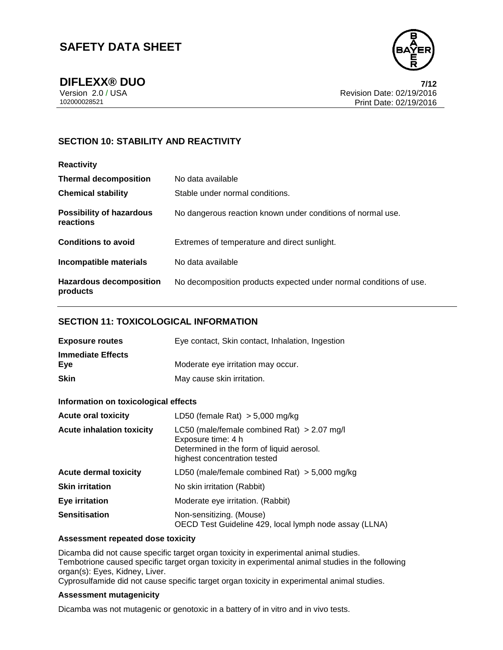

**DIFLEXX® DUO 7/12** Version 2.0 / USA Revision Date: 02/19/2016 Print Date: 02/19/2016

### **SECTION 10: STABILITY AND REACTIVITY**

| <b>Reactivity</b>                            |                                                                    |
|----------------------------------------------|--------------------------------------------------------------------|
| <b>Thermal decomposition</b>                 | No data available                                                  |
| <b>Chemical stability</b>                    | Stable under normal conditions.                                    |
| <b>Possibility of hazardous</b><br>reactions | No dangerous reaction known under conditions of normal use.        |
| <b>Conditions to avoid</b>                   | Extremes of temperature and direct sunlight.                       |
| Incompatible materials                       | No data available                                                  |
| <b>Hazardous decomposition</b><br>products   | No decomposition products expected under normal conditions of use. |

#### **SECTION 11: TOXICOLOGICAL INFORMATION**

| <b>Exposure routes</b>          | Eye contact, Skin contact, Inhalation, Ingestion |
|---------------------------------|--------------------------------------------------|
| <b>Immediate Effects</b><br>Eve | Moderate eye irritation may occur.               |
| <b>Skin</b>                     | May cause skin irritation.                       |

### **Information on toxicological effects**

| <b>Acute oral toxicity</b>       | LD50 (female Rat) $> 5,000$ mg/kg                                                                                                                |
|----------------------------------|--------------------------------------------------------------------------------------------------------------------------------------------------|
| <b>Acute inhalation toxicity</b> | LC50 (male/female combined Rat) $> 2.07$ mg/l<br>Exposure time: 4 h<br>Determined in the form of liquid aerosol.<br>highest concentration tested |
| <b>Acute dermal toxicity</b>     | LD50 (male/female combined Rat) $>$ 5,000 mg/kg                                                                                                  |
| <b>Skin irritation</b>           | No skin irritation (Rabbit)                                                                                                                      |
| Eye irritation                   | Moderate eye irritation. (Rabbit)                                                                                                                |
| <b>Sensitisation</b>             | Non-sensitizing. (Mouse)<br>OECD Test Guideline 429, local lymph node assay (LLNA)                                                               |

#### **Assessment repeated dose toxicity**

Dicamba did not cause specific target organ toxicity in experimental animal studies. Tembotrione caused specific target organ toxicity in experimental animal studies in the following organ(s): Eyes, Kidney, Liver.

Cyprosulfamide did not cause specific target organ toxicity in experimental animal studies.

#### **Assessment mutagenicity**

Dicamba was not mutagenic or genotoxic in a battery of in vitro and in vivo tests.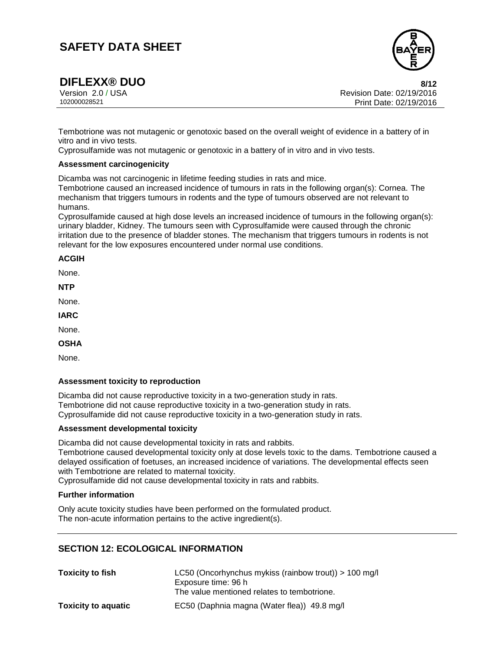

**DIFLEXX® DUO** 8/12<br>Version 2.0 / USA 8/12<br>Revision Date: 02/19/2016 Version 2.0 / USA Revision Date: 02/19/2016<br>102000028521 Print Date: 02/19/2016 Print Date: 02/19/2016

Tembotrione was not mutagenic or genotoxic based on the overall weight of evidence in a battery of in vitro and in vivo tests.

Cyprosulfamide was not mutagenic or genotoxic in a battery of in vitro and in vivo tests.

#### **Assessment carcinogenicity**

Dicamba was not carcinogenic in lifetime feeding studies in rats and mice.

Tembotrione caused an increased incidence of tumours in rats in the following organ(s): Cornea. The mechanism that triggers tumours in rodents and the type of tumours observed are not relevant to humans.

Cyprosulfamide caused at high dose levels an increased incidence of tumours in the following organ(s): urinary bladder, Kidney. The tumours seen with Cyprosulfamide were caused through the chronic irritation due to the presence of bladder stones. The mechanism that triggers tumours in rodents is not relevant for the low exposures encountered under normal use conditions.

#### **ACGIH**

None.

**NTP**

None.

**IARC**

None.

**OSHA**

None.

#### **Assessment toxicity to reproduction**

Dicamba did not cause reproductive toxicity in a two-generation study in rats. Tembotrione did not cause reproductive toxicity in a two-generation study in rats. Cyprosulfamide did not cause reproductive toxicity in a two-generation study in rats.

#### **Assessment developmental toxicity**

Dicamba did not cause developmental toxicity in rats and rabbits.

Tembotrione caused developmental toxicity only at dose levels toxic to the dams. Tembotrione caused a delayed ossification of foetuses, an increased incidence of variations. The developmental effects seen with Tembotrione are related to maternal toxicity.

Cyprosulfamide did not cause developmental toxicity in rats and rabbits.

#### **Further information**

Only acute toxicity studies have been performed on the formulated product. The non-acute information pertains to the active ingredient(s).

### **SECTION 12: ECOLOGICAL INFORMATION**

| <b>Toxicity to fish</b>    | LC50 (Oncorhynchus mykiss (rainbow trout)) > 100 mg/l |
|----------------------------|-------------------------------------------------------|
|                            | Exposure time: 96 h                                   |
|                            | The value mentioned relates to tembotrione.           |
| <b>Toxicity to aquatic</b> | EC50 (Daphnia magna (Water flea)) 49.8 mg/l           |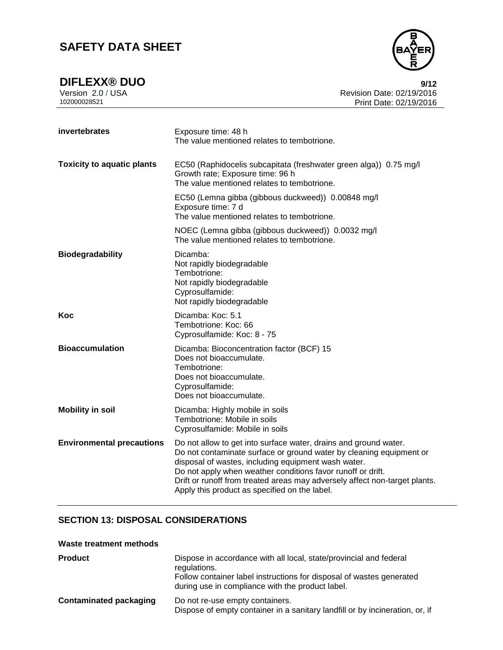

**DIFLEXX® DUO**<br>Version 2.0 / USA **9/12**<br>Revision Date: 02/19/2016 Version 2.0 / USA Revision Date: 02/19/2016<br>102000028521 Print Date: 02/19/2016 Print Date: 02/19/2016

| invertebrates                     | Exposure time: 48 h<br>The value mentioned relates to tembotrione.                                                                                                                                                                                                                                                                                                                           |  |  |
|-----------------------------------|----------------------------------------------------------------------------------------------------------------------------------------------------------------------------------------------------------------------------------------------------------------------------------------------------------------------------------------------------------------------------------------------|--|--|
| <b>Toxicity to aquatic plants</b> | EC50 (Raphidocelis subcapitata (freshwater green alga)) 0.75 mg/l<br>Growth rate; Exposure time: 96 h<br>The value mentioned relates to tembotrione.                                                                                                                                                                                                                                         |  |  |
|                                   | EC50 (Lemna gibba (gibbous duckweed)) 0.00848 mg/l<br>Exposure time: 7 d<br>The value mentioned relates to tembotrione.                                                                                                                                                                                                                                                                      |  |  |
|                                   | NOEC (Lemna gibba (gibbous duckweed)) 0.0032 mg/l<br>The value mentioned relates to tembotrione.                                                                                                                                                                                                                                                                                             |  |  |
| <b>Biodegradability</b>           | Dicamba:<br>Not rapidly biodegradable<br>Tembotrione:<br>Not rapidly biodegradable<br>Cyprosulfamide:<br>Not rapidly biodegradable                                                                                                                                                                                                                                                           |  |  |
| Koc                               | Dicamba: Koc: 5.1<br>Tembotrione: Koc: 66<br>Cyprosulfamide: Koc: 8 - 75                                                                                                                                                                                                                                                                                                                     |  |  |
| <b>Bioaccumulation</b>            | Dicamba: Bioconcentration factor (BCF) 15<br>Does not bioaccumulate.<br>Tembotrione:<br>Does not bioaccumulate.<br>Cyprosulfamide:<br>Does not bioaccumulate.                                                                                                                                                                                                                                |  |  |
| <b>Mobility in soil</b>           | Dicamba: Highly mobile in soils<br>Tembotrione: Mobile in soils<br>Cyprosulfamide: Mobile in soils                                                                                                                                                                                                                                                                                           |  |  |
| <b>Environmental precautions</b>  | Do not allow to get into surface water, drains and ground water.<br>Do not contaminate surface or ground water by cleaning equipment or<br>disposal of wastes, including equipment wash water.<br>Do not apply when weather conditions favor runoff or drift.<br>Drift or runoff from treated areas may adversely affect non-target plants.<br>Apply this product as specified on the label. |  |  |

### **SECTION 13: DISPOSAL CONSIDERATIONS**

#### **Waste treatment methods**

| <b>Product</b>                | Dispose in accordance with all local, state/provincial and federal<br>regulations.<br>Follow container label instructions for disposal of wastes generated<br>during use in compliance with the product label. |
|-------------------------------|----------------------------------------------------------------------------------------------------------------------------------------------------------------------------------------------------------------|
| <b>Contaminated packaging</b> | Do not re-use empty containers.<br>Dispose of empty container in a sanitary landfill or by incineration, or, if                                                                                                |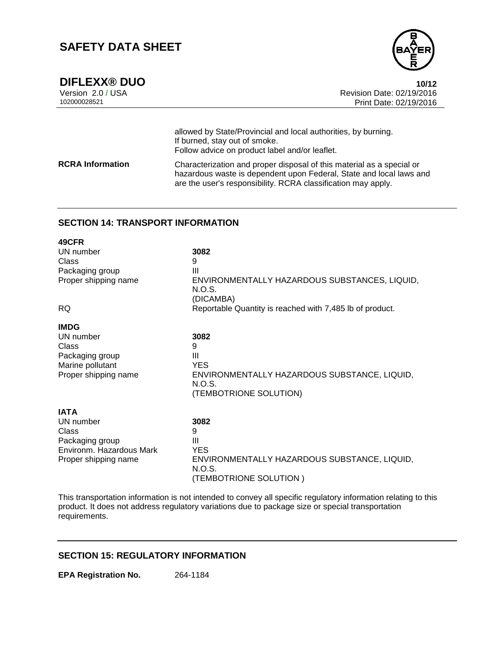

**DIFLEXX® DUO** 10/12<br>Version 2.0 / USA 10/12<br>Revision Date: 02/19/2016 Version 2.0 / USA Revision Date: 02/19/2016 Print Date: 02/19/2016

|                         | allowed by State/Provincial and local authorities, by burning.<br>If burned, stay out of smoke.<br>Follow advice on product label and/or leaflet.                                                             |
|-------------------------|---------------------------------------------------------------------------------------------------------------------------------------------------------------------------------------------------------------|
| <b>RCRA</b> Information | Characterization and proper disposal of this material as a special or<br>hazardous waste is dependent upon Federal, State and local laws and<br>are the user's responsibility. RCRA classification may apply. |

### **SECTION 14: TRANSPORT INFORMATION**

| 49CFR                    |                                                                                  |
|--------------------------|----------------------------------------------------------------------------------|
| UN number                | 3082                                                                             |
| Class                    | 9                                                                                |
| Packaging group          | Ш                                                                                |
| Proper shipping name     | ENVIRONMENTALLY HAZARDOUS SUBSTANCES, LIQUID,<br>N.O.S.<br>(DICAMBA)             |
| <b>RQ</b>                | Reportable Quantity is reached with 7,485 lb of product.                         |
| <b>IMDG</b>              |                                                                                  |
| UN number                | 3082                                                                             |
| Class                    | 9                                                                                |
| Packaging group          | Ш                                                                                |
| Marine pollutant         | <b>YES</b>                                                                       |
| Proper shipping name     | ENVIRONMENTALLY HAZARDOUS SUBSTANCE, LIQUID,<br>N.O.S.<br>(TEMBOTRIONE SOLUTION) |
|                          |                                                                                  |
| <b>IATA</b>              |                                                                                  |
| UN number                | 3082                                                                             |
| Class                    | 9                                                                                |
| Packaging group          | Ш                                                                                |
| Environm. Hazardous Mark | <b>YES</b>                                                                       |
| Proper shipping name     | ENVIRONMENTALLY HAZARDOUS SUBSTANCE, LIQUID,<br>N.O.S.                           |

This transportation information is not intended to convey all specific regulatory information relating to this product. It does not address regulatory variations due to package size or special transportation requirements.

(TEMBOTRIONE SOLUTION )

### **SECTION 15: REGULATORY INFORMATION**

**EPA Registration No.** 264-1184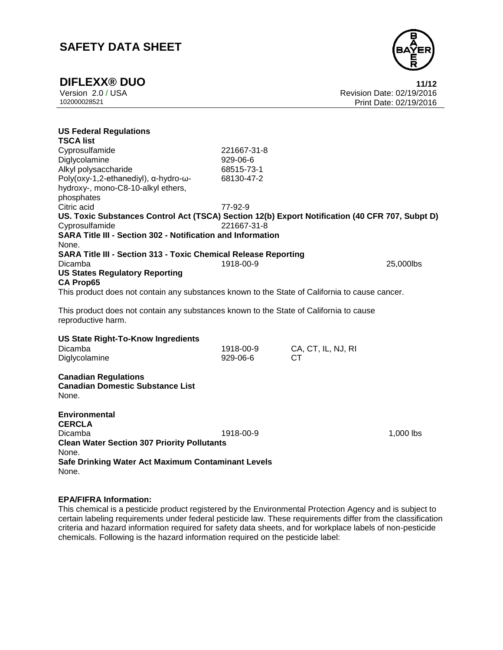

**DIFLEXX® DUO 11/12** Version 2.0 / USA Revision Date: 02/19/2016 Print Date: 02/19/2016

| <b>US Federal Regulations</b>                                                                                |             |                                 |           |
|--------------------------------------------------------------------------------------------------------------|-------------|---------------------------------|-----------|
| <b>TSCA list</b>                                                                                             |             |                                 |           |
| Cyprosulfamide                                                                                               | 221667-31-8 |                                 |           |
| Diglycolamine                                                                                                | 929-06-6    |                                 |           |
| Alkyl polysaccharide                                                                                         | 68515-73-1  |                                 |           |
| Poly(oxy-1,2-ethanediyl), α-hydro-ω-                                                                         | 68130-47-2  |                                 |           |
| hydroxy-, mono-C8-10-alkyl ethers,                                                                           |             |                                 |           |
| phosphates                                                                                                   |             |                                 |           |
| Citric acid                                                                                                  | 77-92-9     |                                 |           |
| US. Toxic Substances Control Act (TSCA) Section 12(b) Export Notification (40 CFR 707, Subpt D)              | 221667-31-8 |                                 |           |
| Cyprosulfamide<br><b>SARA Title III - Section 302 - Notification and Information</b>                         |             |                                 |           |
|                                                                                                              |             |                                 |           |
| None.                                                                                                        |             |                                 |           |
| <b>SARA Title III - Section 313 - Toxic Chemical Release Reporting</b><br>Dicamba                            | 1918-00-9   |                                 | 25,000lbs |
| <b>US States Regulatory Reporting</b>                                                                        |             |                                 |           |
| <b>CA Prop65</b>                                                                                             |             |                                 |           |
| This product does not contain any substances known to the State of California to cause cancer.               |             |                                 |           |
|                                                                                                              |             |                                 |           |
| This product does not contain any substances known to the State of California to cause<br>reproductive harm. |             |                                 |           |
|                                                                                                              |             |                                 |           |
| <b>US State Right-To-Know Ingredients</b>                                                                    |             |                                 |           |
| Dicamba                                                                                                      | 1918-00-9   | CA, CT, IL, NJ, RI<br><b>CT</b> |           |
| Diglycolamine                                                                                                | 929-06-6    |                                 |           |
| <b>Canadian Regulations</b><br><b>Canadian Domestic Substance List</b><br>None.                              |             |                                 |           |
| <b>Environmental</b><br><b>CERCLA</b><br>Dicamba<br><b>Clean Water Section 307 Priority Pollutants</b>       | 1918-00-9   |                                 | 1,000 lbs |
| None.<br>Safe Drinking Water Act Maximum Contaminant Levels<br>None.                                         |             |                                 |           |

#### **EPA/FIFRA Information:**

This chemical is a pesticide product registered by the Environmental Protection Agency and is subject to certain labeling requirements under federal pesticide law. These requirements differ from the classification criteria and hazard information required for safety data sheets, and for workplace labels of non-pesticide chemicals. Following is the hazard information required on the pesticide label: